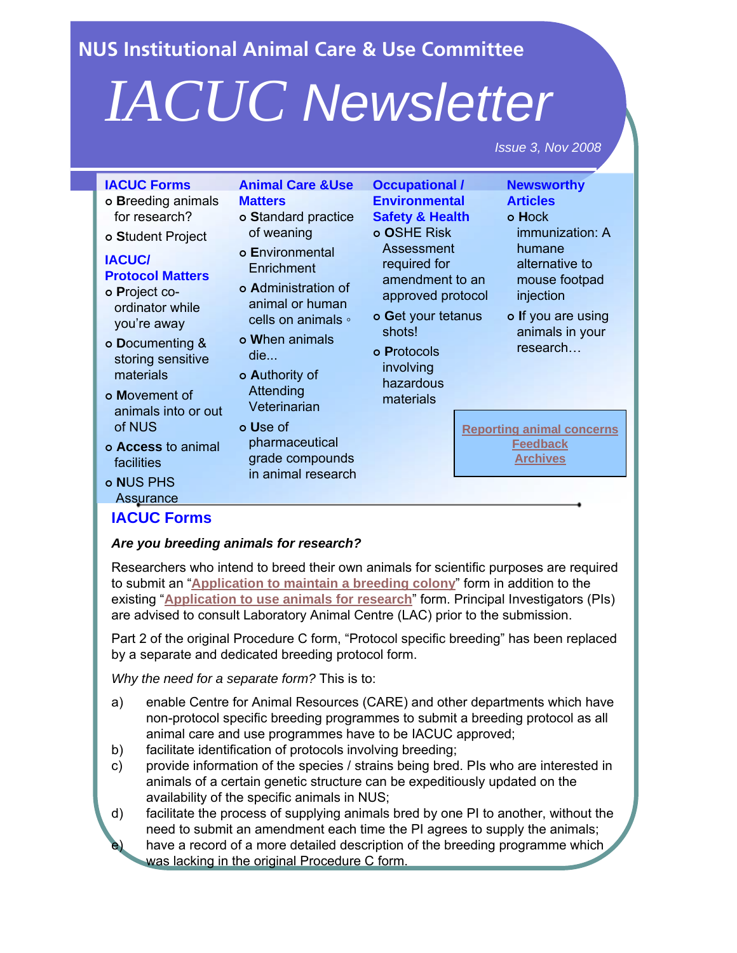<span id="page-0-0"></span>**NUS Institutional Animal Care & Use Committee**

# *IACUC Newsletter*

*Issue 3, Nov 2008*

Researchers who intend to breed their own animals for scientific purposes are required to submit an "**[Application to maintain a breeding colony](http://www.nus.edu.sg/iacuc/pages/breeding_colony.html)**" form in addition to the existing "**[Application to use animals for research](http://www.nus.edu.sg/iacuc/pages/use_animals_for_research_app.html)**" form. Principal Investigators (PIs) are advised to consult Laboratory Animal Centre (LAC) prior to the submission.

Part 2 of the original Procedure C form, "Protocol specific breeding" has been replaced by a separate and dedicated breeding protocol form.

*Why the need for a separate form?* This is to:

- a) enable Centre for Animal Resources (CARE) and other departments which have non-protocol specific breeding programmes to submit a breeding protocol as all animal care and use programmes have to be IACUC approved;
- b) facilitate identification of protocols involving breeding;
- c) provide information of the species / strains being bred. PIs who are interested in animals of a certain genetic structure can be expeditiously updated on the availability of the specific animals in NUS;
- d) facilitate the process of supplying animals bred by one PI to another, without the need to submit an amendment each time the PI agrees to supply the animals; have a record of a more detailed description of the breeding programme which was lacking in the original Procedure C form.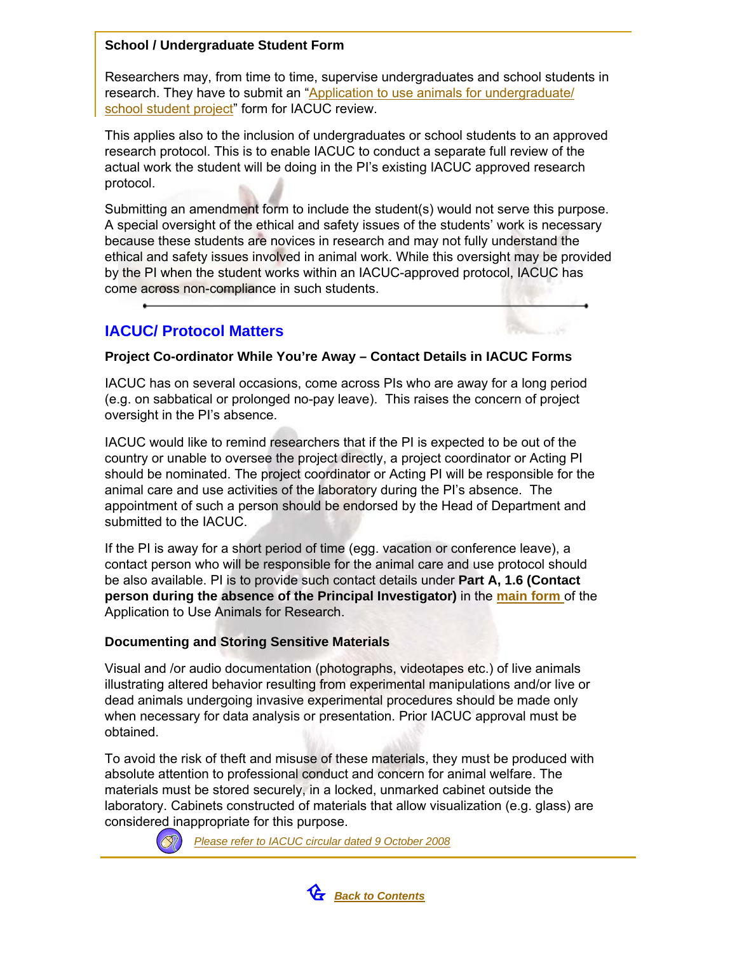# **School / Undergraduate Student Form**

Researchers may, from time to time, supervise undergraduates and school students in research. They have to submit an "Application to use animals for undergraduate/ [school student project](http://www.nus.edu.sg/iacuc/pages/use_animals_for_undergrad_school_project_app.html)" form for IACUC review.

This applies also to the inclusion of undergraduates or school students to an approved research protocol. This is to enable IACUC to conduct a separate full review of the actual work the student will be doing in the PI's existing IACUC approved research protocol.

Submitting an amendment form to include the student(s) would not serve this purpose. A special oversight of the ethical and safety issues of the students' work is necessary because these students are novices in research and may not fully understand the ethical and safety issues involved in animal work. While this oversight may be provided by the PI when the student works within an IACUC-approved protocol, IACUC has come across non-compliance in such students.

# **IACUC/ Protocol Matters**



# **Project Co-ordinator While You're Away – Contact Details in IACUC Forms**

IACUC has on several occasions, come across PIs who are away for a long period (e.g. on sabbatical or prolonged no-pay leave). This raises the concern of project oversight in the PI's absence.

IACUC would like to remind researchers that if the PI is expected to be out of the country or unable to oversee the project directly, a project coordinator or Acting PI should be nominated. The project coordinator or Acting PI will be responsible for the animal care and use activities of the laboratory during the PI's absence. The appointment of such a person should be endorsed by the Head of Department and submitted to the IACUC.

If the PI is away for a short period of time (egg. vacation or conference leave), a contact person who will be responsible for the animal care and use protocol should be also available. PI is to provide such contact details under **Part A, 1.6 (Contact person during the absence of the Principal Investigator)** in the **[main form](http://www.nus.edu.sg/iacuc/iacuc_forms/research/Res.doc)** of the Application to Use Animals for Research.

# **Documenting and Storing Sensitive Materials**

Visual and /or audio documentation (photographs, videotapes etc.) of live animals illustrating altered behavior resulting from experimental manipulations and/or live or dead animals undergoing invasive experimental procedures should be made only when necessary for data analysis or presentation. Prior IACUC approval must be obtained.

To avoid the risk of theft and misuse of these materials, they must be produced with absolute attention to professional conduct and concern for animal welfare. The materials must be stored securely, in a locked, unmarked cabinet outside the laboratory. Cabinets constructed of materials that allow visualization (e.g. glass) are considered inappropriate for this purpose.



*[Please refer to IACUC circular dated 9 October 2008](http://www.nus.edu.sg/iacuc/files/Circular on storing sensitive materials and cell line testing dated 9 Oct 2008.pdf)*

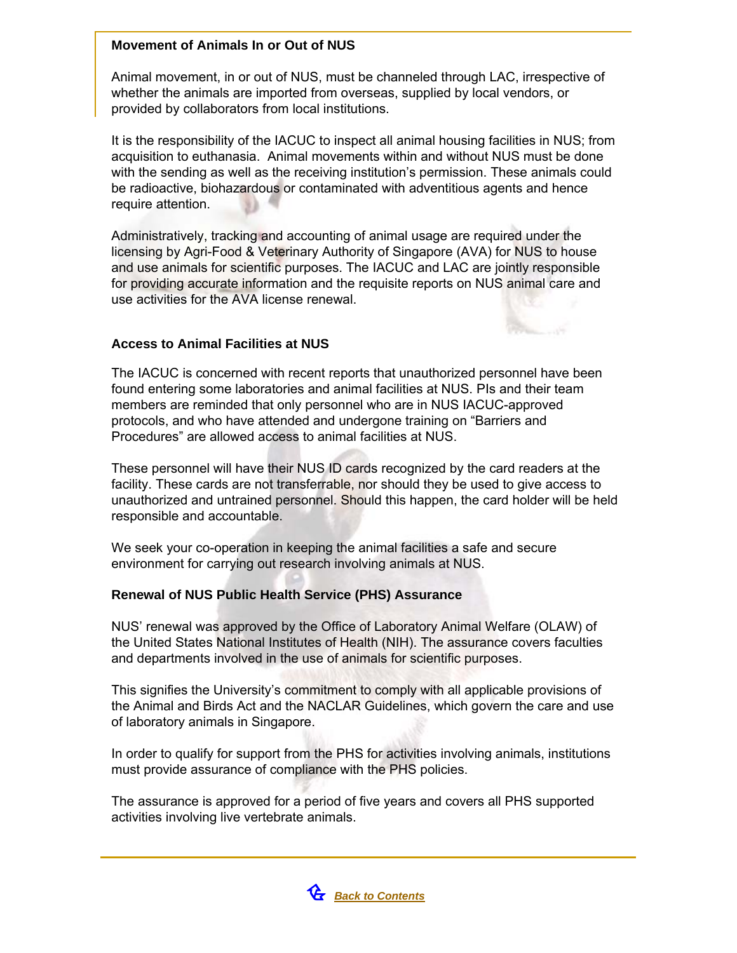## **Movement of Animals In or Out of NUS**

Animal movement, in or out of NUS, must be channeled through LAC, irrespective of whether the animals are imported from overseas, supplied by local vendors, or provided by collaborators from local institutions.

It is the responsibility of the IACUC to inspect all animal housing facilities in NUS; from acquisition to euthanasia. Animal movements within and without NUS must be done with the sending as well as the receiving institution's permission. These animals could be radioactive, biohazardous or contaminated with adventitious agents and hence require attention.

Administratively, tracking and accounting of animal usage are required under the licensing by Agri-Food & Veterinary Authority of Singapore (AVA) for NUS to house and use animals for scientific purposes. The IACUC and LAC are jointly responsible for providing accurate information and the requisite reports on NUS animal care and use activities for the AVA license renewal.

# **Access to Animal Facilities at NUS**

The IACUC is concerned with recent reports that unauthorized personnel have been found entering some laboratories and animal facilities at NUS. PIs and their team members are reminded that only personnel who are in NUS IACUC-approved protocols, and who have attended and undergone training on "Barriers and Procedures" are allowed access to animal facilities at NUS.

These personnel will have their NUS ID cards recognized by the card readers at the facility. These cards are not transferrable, nor should they be used to give access to unauthorized and untrained personnel. Should this happen, the card holder will be held responsible and accountable.

We seek your co-operation in keeping the animal facilities a safe and secure environment for carrying out research involving animals at NUS.

# **Renewal of NUS Public Health Service (PHS) Assurance**

NUS' renewal was approved by the Office of Laboratory Animal Welfare (OLAW) of the United States National Institutes of Health (NIH). The assurance covers faculties and departments involved in the use of animals for scientific purposes.

This signifies the University's commitment to comply with all applicable provisions of the Animal and Birds Act and the NACLAR Guidelines, which govern the care and use of laboratory animals in Singapore.

In order to qualify for support from the PHS for activities involving animals, institutions must provide assurance of compliance with the PHS policies.

The assurance is approved for a period of five years and covers all PHS supported activities involving live vertebrate animals.

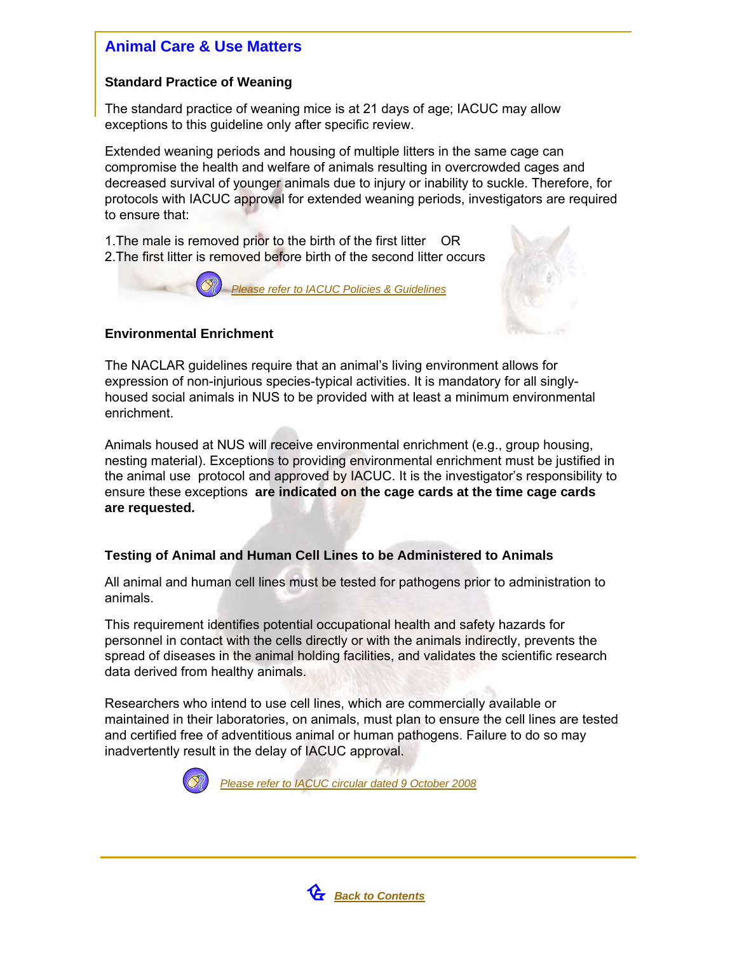# **Animal Care & Use Matters**

# **Standard Practice of Weaning**

The standard practice of weaning mice is at 21 days of age; IACUC may allow exceptions to this guideline only after specific review.

Extended weaning periods and housing of multiple litters in the same cage can compromise the health and welfare of animals resulting in overcrowded cages and decreased survival of younger animals due to injury or inability to suckle. Therefore, for protocols with IACUC approval for extended weaning periods, investigators are required to ensure that:

1.The male is removed prior to the birth of the first litter OR 2.The first litter is removed before birth of the second litter occurs

*[Please refer to IACUC Policies & Guidelines](http://www.nus.edu.sg/iacuc/about_iacuc_policies.shtml)*



# **Environmental Enrichment**

The NACLAR guidelines require that an animal's living environment allows for expression of non-injurious species-typical activities. It is mandatory for all singlyhoused social animals in NUS to be provided with at least a minimum environmental enrichment.

Animals housed at NUS will receive environmental enrichment (e.g., group housing, nesting material). Exceptions to providing environmental enrichment must be justified in the animal use protocol and approved by IACUC. It is the investigator's responsibility to ensure these exceptions **are indicated on the cage cards at the time cage cards are requested.**

# **Testing of Animal and Human Cell Lines to be Administered to Animals**

All animal and human cell lines must be tested for pathogens prior to administration to animals.

This requirement identifies potential occupational health and safety hazards for personnel in contact with the cells directly or with the animals indirectly, prevents the spread of diseases in the animal holding facilities, and validates the scientific research data derived from healthy animals.

Researchers who intend to use cell lines, which are commercially available or maintained in their laboratories, on animals, must plan to ensure the cell lines are tested and certified free of adventitious animal or human pathogens. Failure to do so may inadvertently result in the delay of IACUC approval.



*[Please refer to IACUC circular dated 9 October 2008](http://www.nus.edu.sg/iacuc/files/Circular on storing sensitive materials and cell line testing dated 9 Oct 2008.pdf)*

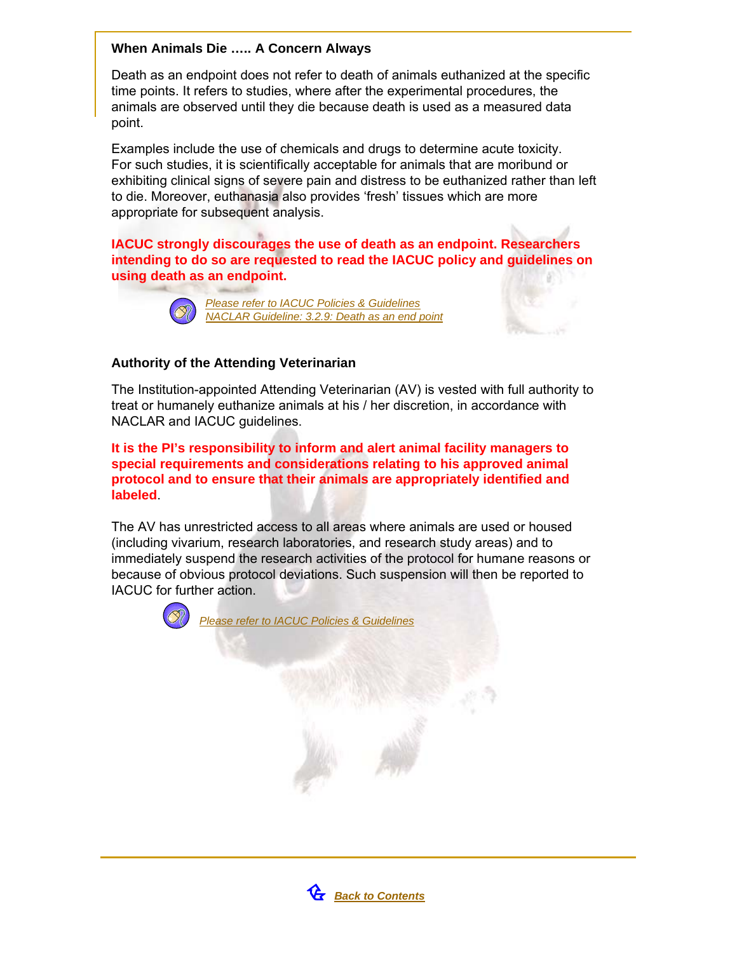## **When Animals Die ….. A Concern Always**

Death as an endpoint does not refer to death of animals euthanized at the specific time points. It refers to studies, where after the experimental procedures, the animals are observed until they die because death is used as a measured data point.

Examples include the use of chemicals and drugs to determine acute toxicity. For such studies, it is scientifically acceptable for animals that are moribund or exhibiting clinical signs of severe pain and distress to be euthanized rather than left to die. Moreover, euthanasia also provides 'fresh' tissues which are more appropriate for subsequent analysis.

**IACUC strongly discourages the use of death as an endpoint. Researchers intending to do so are requested to read the IACUC policy and guidelines on using death as an endpoint.**



*[Please refer to IACUC Policies & Guidelines](http://www.nus.edu.sg/iacuc/about_iacuc_policies.shtml) NACLAR Guideline: 3.2.9: Death as an end point*

## **Authority of the Attending Veterinarian**

The Institution-appointed Attending Veterinarian (AV) is vested with full authority to treat or humanely euthanize animals at his / her discretion, in accordance with NACLAR and IACUC guidelines.

**It is the PI's responsibility to inform and alert animal facility managers to special requirements and considerations relating to his approved animal protocol and to ensure that their animals are appropriately identified and labeled**.

The AV has unrestricted access to all areas where animals are used or housed (including vivarium, research laboratories, and research study areas) and to immediately suspend the research activities of the protocol for humane reasons or because of obvious protocol deviations. Such suspension will then be reported to IACUC for further action.



*[Please refer to IACUC Policies & Guidelines](http://www.nus.edu.sg/iacuc/about_iacuc_policies.shtml)*

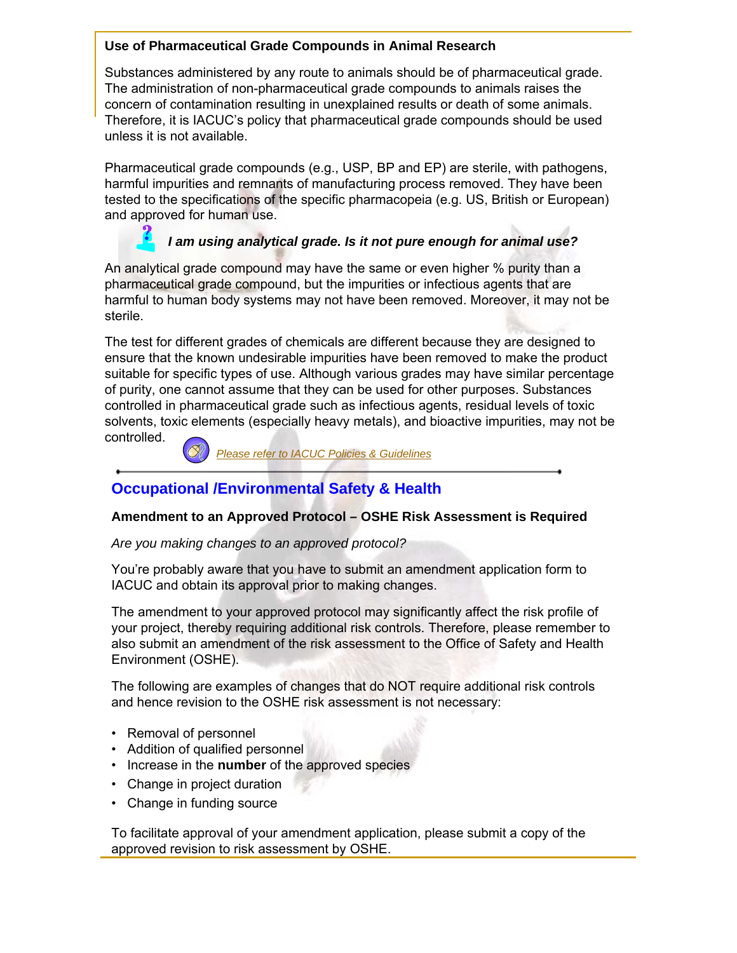# **Use of Pharmaceutical Grade Compounds in Animal Research**

Substances administered by any route to animals should be of pharmaceutical grade. The administration of non-pharmaceutical grade compounds to animals raises the concern of contamination resulting in unexplained results or death of some animals. Therefore, it is IACUC's policy that pharmaceutical grade compounds should be used unless it is not available.

Pharmaceutical grade compounds (e.g., USP, BP and EP) are sterile, with pathogens, harmful impurities and remnants of manufacturing process removed. They have been tested to the specifications of the specific pharmacopeia (e.g. US, British or European) and approved for human use.

# *I am using analytical grade. Is it not pure enough for animal use?*

An analytical grade compound may have the same or even higher % purity than a pharmaceutical grade compound, but the impurities or infectious agents that are harmful to human body systems may not have been removed. Moreover, it may not be sterile.

The test for different grades of chemicals are different because they are designed to ensure that the known undesirable impurities have been removed to make the product suitable for specific types of use. Although various grades may have similar percentage of purity, one cannot assume that they can be used for other purposes. Substances controlled in pharmaceutical grade such as infectious agents, residual levels of toxic solvents, toxic elements (especially heavy metals), and bioactive impurities, may not be controlled.

*[Please refer to IACUC Policies & Guidelines](http://www.nus.edu.sg/iacuc/about_iacuc_policies.shtml)*

# **Occupational /Environmental Safety & Health**

## **Amendment to an Approved Protocol – OSHE Risk Assessment is Required**

*Are you making changes to an approved protocol?*

You're probably aware that you have to submit an amendment application form to IACUC and obtain its approval prior to making changes.

The amendment to your approved protocol may significantly affect the risk profile of your project, thereby requiring additional risk controls. Therefore, please remember to also submit an amendment of the risk assessment to the Office of Safety and Health Environment (OSHE).

The following are examples of changes that do NOT require additional risk controls and hence revision to the OSHE risk assessment is not necessary:

- Removal of personnel
- Addition of qualified personnel
- Increase in the **number** of the approved species
- Change in project duration
- Change in funding source

To facilitate approval of your amendment application, please submit a copy of the approved revision to risk assessment by OSHE.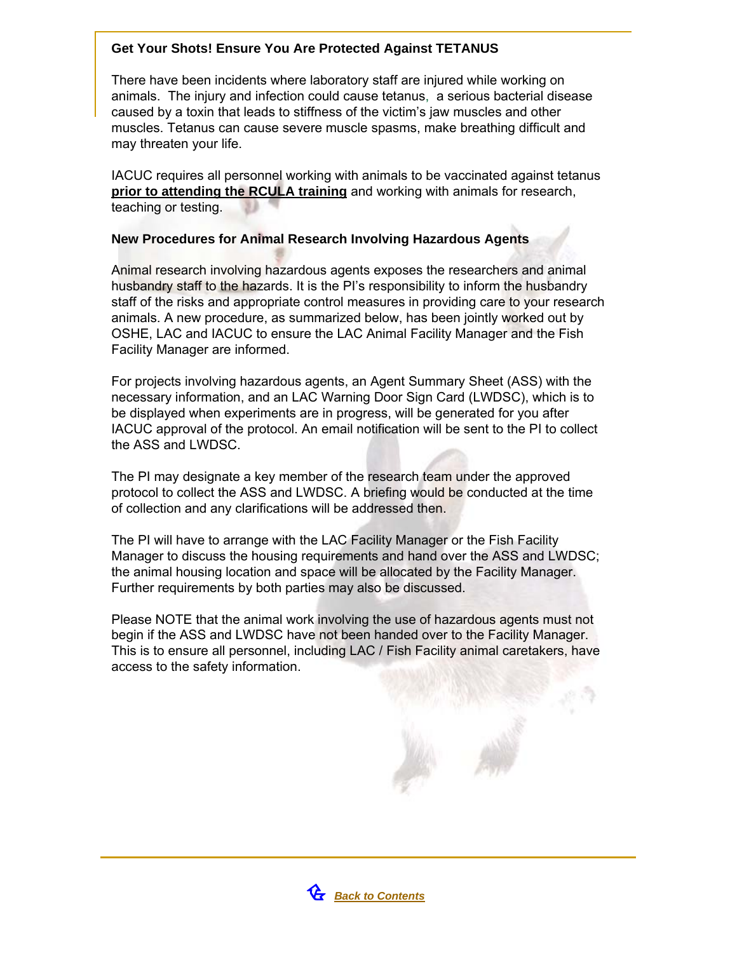# **Get Your Shots! Ensure You Are Protected Against TETANUS**

There have been incidents where laboratory staff are injured while working on animals. The injury and infection could cause tetanus, a serious bacterial disease caused by a toxin that leads to stiffness of the victim's jaw muscles and other muscles. Tetanus can cause severe muscle spasms, make breathing difficult and may threaten your life.

IACUC requires all personnel working with animals to be vaccinated against tetanus **prior to attending the RCULA training** and working with animals for research, teaching or testing.

## **New Procedures for Animal Research Involving Hazardous Agents**

Animal research involving hazardous agents exposes the researchers and animal husbandry staff to the hazards. It is the PI's responsibility to inform the husbandry staff of the risks and appropriate control measures in providing care to your research animals. A new procedure, as summarized below, has been jointly worked out by OSHE, LAC and IACUC to ensure the LAC Animal Facility Manager and the Fish Facility Manager are informed.

For projects involving hazardous agents, an Agent Summary Sheet (ASS) with the necessary information, and an LAC Warning Door Sign Card (LWDSC), which is to be displayed when experiments are in progress, will be generated for you after IACUC approval of the protocol. An email notification will be sent to the PI to collect the ASS and LWDSC.

The PI may designate a key member of the research team under the approved protocol to collect the ASS and LWDSC. A briefing would be conducted at the time of collection and any clarifications will be addressed then.

The PI will have to arrange with the LAC Facility Manager or the Fish Facility Manager to discuss the housing requirements and hand over the ASS and LWDSC; the animal housing location and space will be allocated by the Facility Manager. Further requirements by both parties may also be discussed.

Please NOTE that the animal work involving the use of hazardous agents must not begin if the ASS and LWDSC have not been handed over to the Facility Manager. This is to ensure all personnel, including LAC / Fish Facility animal caretakers, have access to the safety information.